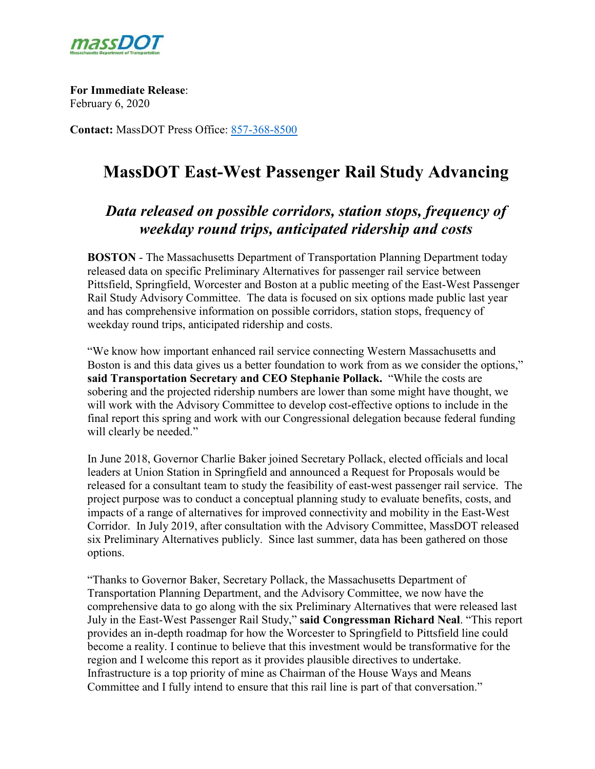

**For Immediate Release**: February 6, 2020

**Contact:** MassDOT Press Office: [857-368-8500](tel:857-368-8500)

# **MassDOT East-West Passenger Rail Study Advancing**

# *Data released on possible corridors, station stops, frequency of weekday round trips, anticipated ridership and costs*

**BOSTON** - The Massachusetts Department of Transportation Planning Department today released data on specific Preliminary Alternatives for passenger rail service between Pittsfield, Springfield, Worcester and Boston at a public meeting of the East-West Passenger Rail Study Advisory Committee. The data is focused on six options made public last year and has comprehensive information on possible corridors, station stops, frequency of weekday round trips, anticipated ridership and costs.

"We know how important enhanced rail service connecting Western Massachusetts and Boston is and this data gives us a better foundation to work from as we consider the options," **said Transportation Secretary and CEO Stephanie Pollack.** "While the costs are sobering and the projected ridership numbers are lower than some might have thought, we will work with the Advisory Committee to develop cost-effective options to include in the final report this spring and work with our Congressional delegation because federal funding will clearly be needed."

In June 2018, Governor Charlie Baker joined Secretary Pollack, elected officials and local leaders at Union Station in Springfield and announced a Request for Proposals would be released for a consultant team to study the feasibility of east-west passenger rail service. The project purpose was to conduct a conceptual planning study to evaluate benefits, costs, and impacts of a range of alternatives for improved connectivity and mobility in the East-West Corridor. In July 2019, after consultation with the Advisory Committee, MassDOT released six Preliminary Alternatives publicly. Since last summer, data has been gathered on those options.

"Thanks to Governor Baker, Secretary Pollack, the Massachusetts Department of Transportation Planning Department, and the Advisory Committee, we now have the comprehensive data to go along with the six Preliminary Alternatives that were released last July in the East-West Passenger Rail Study," **said Congressman Richard Neal**. "This report provides an in-depth roadmap for how the Worcester to Springfield to Pittsfield line could become a reality. I continue to believe that this investment would be transformative for the region and I welcome this report as it provides plausible directives to undertake. Infrastructure is a top priority of mine as Chairman of the House Ways and Means Committee and I fully intend to ensure that this rail line is part of that conversation."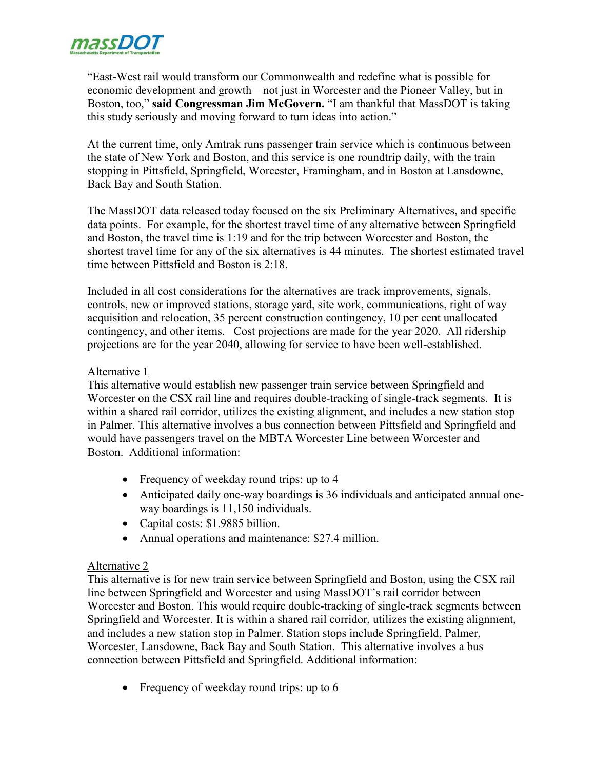

"East-West rail would transform our Commonwealth and redefine what is possible for economic development and growth – not just in Worcester and the Pioneer Valley, but in Boston, too," **said Congressman Jim McGovern.** "I am thankful that MassDOT is taking this study seriously and moving forward to turn ideas into action."

At the current time, only Amtrak runs passenger train service which is continuous between the state of New York and Boston, and this service is one roundtrip daily, with the train stopping in Pittsfield, Springfield, Worcester, Framingham, and in Boston at Lansdowne, Back Bay and South Station.

The MassDOT data released today focused on the six Preliminary Alternatives, and specific data points. For example, for the shortest travel time of any alternative between Springfield and Boston, the travel time is 1:19 and for the trip between Worcester and Boston, the shortest travel time for any of the six alternatives is 44 minutes. The shortest estimated travel time between Pittsfield and Boston is 2:18.

Included in all cost considerations for the alternatives are track improvements, signals, controls, new or improved stations, storage yard, site work, communications, right of way acquisition and relocation, 35 percent construction contingency, 10 per cent unallocated contingency, and other items. Cost projections are made for the year 2020. All ridership projections are for the year 2040, allowing for service to have been well-established.

#### Alternative 1

This alternative would establish new passenger train service between Springfield and Worcester on the CSX rail line and requires double-tracking of single-track segments. It is within a shared rail corridor, utilizes the existing alignment, and includes a new station stop in Palmer. This alternative involves a bus connection between Pittsfield and Springfield and would have passengers travel on the MBTA Worcester Line between Worcester and Boston. Additional information:

- Frequency of weekday round trips: up to 4
- Anticipated daily one-way boardings is 36 individuals and anticipated annual oneway boardings is 11,150 individuals.
- Capital costs: \$1.9885 billion.
- Annual operations and maintenance: \$27.4 million.

#### Alternative 2

This alternative is for new train service between Springfield and Boston, using the CSX rail line between Springfield and Worcester and using MassDOT's rail corridor between Worcester and Boston. This would require double-tracking of single-track segments between Springfield and Worcester. It is within a shared rail corridor, utilizes the existing alignment, and includes a new station stop in Palmer. Station stops include Springfield, Palmer, Worcester, Lansdowne, Back Bay and South Station. This alternative involves a bus connection between Pittsfield and Springfield. Additional information:

• Frequency of weekday round trips: up to 6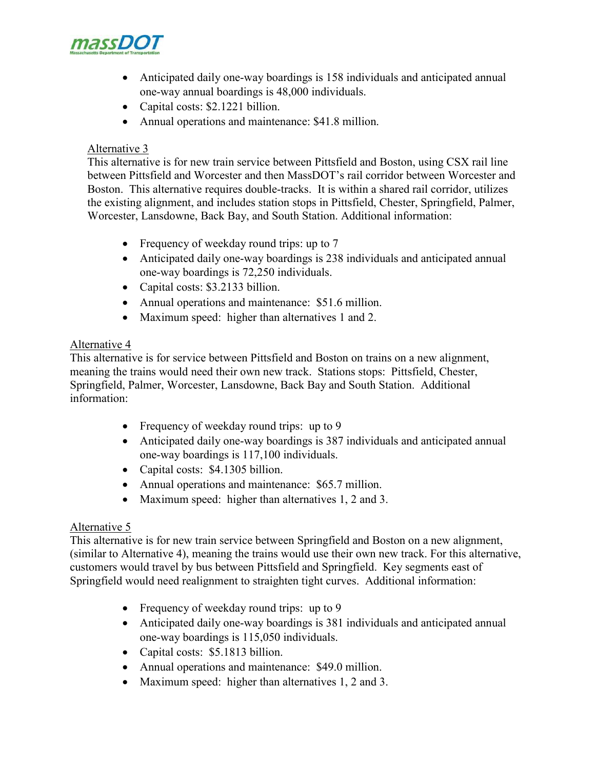

- Anticipated daily one-way boardings is 158 individuals and anticipated annual one-way annual boardings is 48,000 individuals.
- Capital costs: \$2.1221 billion.
- Annual operations and maintenance: \$41.8 million.

#### Alternative 3

This alternative is for new train service between Pittsfield and Boston, using CSX rail line between Pittsfield and Worcester and then MassDOT's rail corridor between Worcester and Boston. This alternative requires double-tracks. It is within a shared rail corridor, utilizes the existing alignment, and includes station stops in Pittsfield, Chester, Springfield, Palmer, Worcester, Lansdowne, Back Bay, and South Station. Additional information:

- Frequency of weekday round trips: up to 7
- Anticipated daily one-way boardings is 238 individuals and anticipated annual one-way boardings is 72,250 individuals.
- Capital costs: \$3.2133 billion.
- Annual operations and maintenance: \$51.6 million.
- Maximum speed: higher than alternatives 1 and 2.

## Alternative 4

This alternative is for service between Pittsfield and Boston on trains on a new alignment, meaning the trains would need their own new track. Stations stops: Pittsfield, Chester, Springfield, Palmer, Worcester, Lansdowne, Back Bay and South Station. Additional information:

- Frequency of weekday round trips: up to 9
- Anticipated daily one-way boardings is 387 individuals and anticipated annual one-way boardings is 117,100 individuals.
- Capital costs: \$4.1305 billion.
- Annual operations and maintenance: \$65.7 million.
- Maximum speed: higher than alternatives 1, 2 and 3.

## Alternative 5

This alternative is for new train service between Springfield and Boston on a new alignment, (similar to Alternative 4), meaning the trains would use their own new track. For this alternative, customers would travel by bus between Pittsfield and Springfield. Key segments east of Springfield would need realignment to straighten tight curves. Additional information:

- Frequency of weekday round trips: up to 9
- Anticipated daily one-way boardings is 381 individuals and anticipated annual one-way boardings is 115,050 individuals.
- Capital costs: \$5.1813 billion.
- Annual operations and maintenance: \$49.0 million.
- Maximum speed: higher than alternatives 1, 2 and 3.